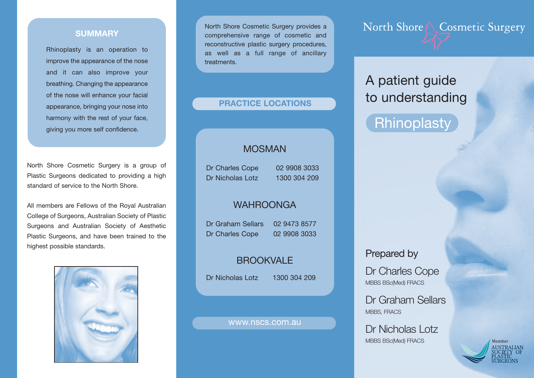### **SUMMARY**

Rhinoplasty is an operation to improve the appearance of the nose and it can also improve your breathing. Changing the appearance of the nose will enhance your facial appearance, bringing your nose into harmony with the rest of your face, giving you more self confidence.

North Shore Cosmetic Surgery is a group of Plastic Surgeons dedicated to providing a high standard of service to the North Shore.

All members are Fellows of the Royal Australian College of Surgeons, Australian Society of Plastic Surgeons and Australian Society of Aesthetic Plastic Surgeons, and have been trained to the highest possible standards.



North Shore Cosmetic Surgery provides a comprehensive range of cosmetic and reconstructive plastic surgery procedures, as well as a full range of ancillary **treatments** 

### **PRACTICE LOCATIONS**

## MOSMAN

Dr Charles Cope 02 9908 3033 Dr Nicholas Lotz 1300 304 209

## WAHROONGA

Dr Graham Sellars 02 9473 8577 Dr Charles Cope 02 9908 3033

# **BROOKVALE**

Dr Nicholas Lotz 1300 304 209

#### www.nscs.com.au

North Shore \ Cosmetic Surgery

# A patient guide to understanding

# **Rhinoplasty**

## Prepared by

Dr Charles Cope MBBS BSc(Med) FRACS

Dr Graham Sellars MBBS, FRACS

Dr Nicholas Lotz MBBS BSc(Med) FRACS